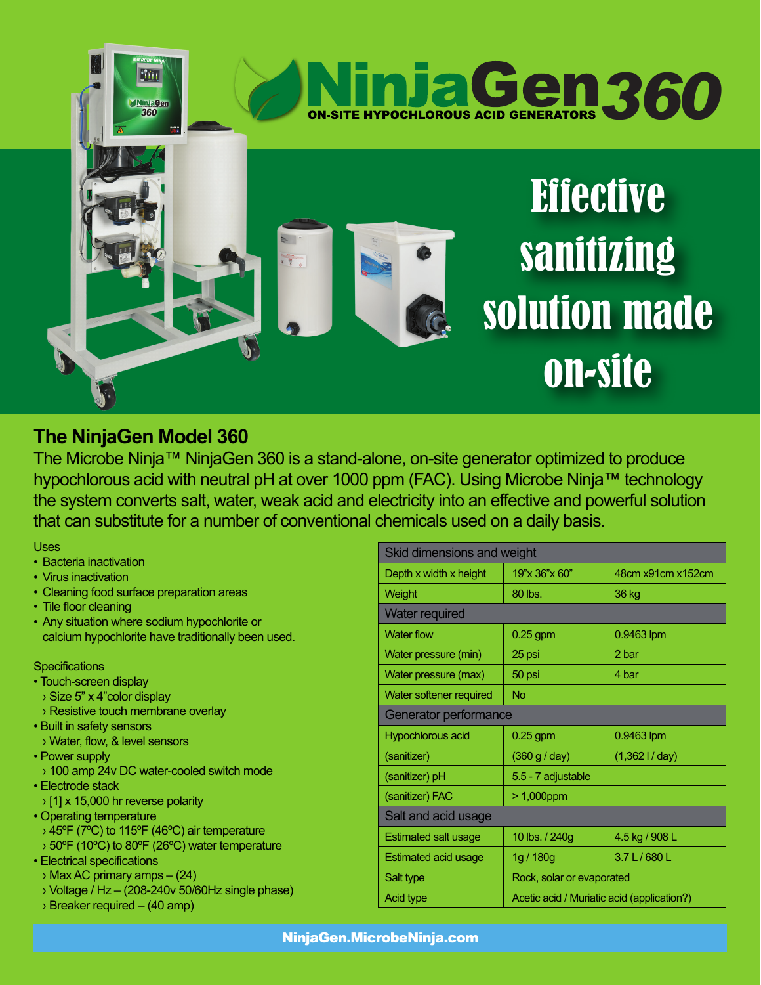

## **The NinjaGen Model 360**

The Microbe Ninja™ NinjaGen 360 is a stand-alone, on-site generator optimized to produce hypochlorous acid with neutral pH at over 1000 ppm (FAC). Using Microbe Ninja™ technology the system converts salt, water, weak acid and electricity into an effective and powerful solution that can substitute for a number of conventional chemicals used on a daily basis.

Uses

- Bacteria inactivation
- Virus inactivation
- Cleaning food surface preparation areas
- Tile floor cleaning
- Any situation where sodium hypochlorite or calcium hypochlorite have traditionally been used.

## **Specifications**

- Touch-screen display
- › Size 5" x 4"color display
- › Resistive touch membrane overlay
- Built in safety sensors
- › Water, flow, & level sensors
- Power supply
- › 100 amp 24v DC water-cooled switch mode
- Electrode stack
- › [1] x 15,000 hr reverse polarity
- Operating temperature
- › 45ºF (7ºC) to 115ºF (46ºC) air temperature
- › 50ºF (10ºC) to 80ºF (26ºC) water temperature
- Electrical specifications
- › Max AC primary amps (24)
- $\rightarrow$  Voltage / Hz (208-240v 50/60Hz single phase)
- › Breaker required (40 amp)

| Skid dimensions and weight  |                                            |                   |
|-----------------------------|--------------------------------------------|-------------------|
| Depth x width x height      | 19"x 36"x 60"                              | 48cm x91cm x152cm |
| Weight                      | 80 lbs.                                    | 36 kg             |
| <b>Water required</b>       |                                            |                   |
| <b>Water flow</b>           | $0.25$ gpm                                 | 0.9463 lpm        |
| Water pressure (min)        | 25 psi                                     | 2 bar             |
| Water pressure (max)        | 50 psi                                     | 4 bar             |
| Water softener required     | <b>No</b>                                  |                   |
| Generator performance       |                                            |                   |
| Hypochlorous acid           | $0.25$ gpm                                 | 0.9463 lpm        |
| (sanitizer)                 | (360 g / day)                              | (1,3621/day)      |
| (sanitizer) pH              | 5.5 - 7 adjustable                         |                   |
| (sanitizer) FAC             | $>1,000$ ppm                               |                   |
| Salt and acid usage         |                                            |                   |
| <b>Estimated salt usage</b> | 10 lbs. / 240g                             | 4.5 kg / 908 L    |
| <b>Estimated acid usage</b> | 1g / 180g                                  | 3.7 L / 680 L     |
| Salt type                   | Rock, solar or evaporated                  |                   |
| <b>Acid type</b>            | Acetic acid / Muriatic acid (application?) |                   |